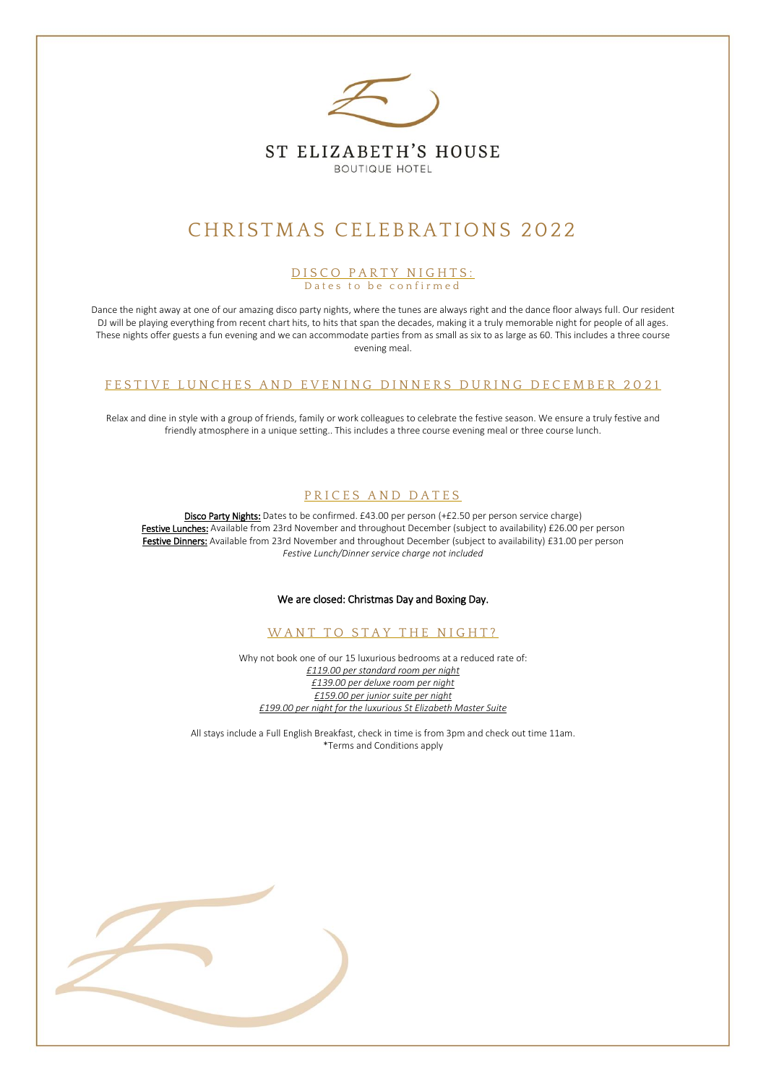

# CHRISTMAS CELEBRATIONS 2022

#### D I S C O P A R T Y N I G H T S : Dates to be confirmed

Dance the night away at one of our amazing disco party nights, where the tunes are always right and the dance floor always full. Our resident DJ will be playing everything from recent chart hits, to hits that span the decades, making it a truly memorable night for people of all ages. These nights offer guests a fun evening and we can accommodate parties from as small as six to as large as 60. This includes a three course evening meal.

#### FESTIVE LUNCHES AND EVENING DINNERS DURING DECEMBER 2021

Relax and dine in style with a group of friends, family or work colleagues to celebrate the festive season. We ensure a truly festive and friendly atmosphere in a unique setting.. This includes a three course evening meal or three course lunch.

#### PRICES AND DATES

Disco Party Nights: Dates to be confirmed. £43.00 per person (+£2.50 per person service charge) Festive Lunches: Available from 23rd November and throughout December (subject to availability) £26.00 per person Festive Dinners: Available from 23rd November and throughout December (subject to availability) £31.00 per person *Festive Lunch/Dinner service charge not included* 

#### We are closed: Christmas Day and Boxing Day.

WANT TO STAY THE NIGHT?

Why not book one of our 15 luxurious bedrooms at a reduced rate of: *£119.00 per standard room per night £139.00 per deluxe room per night £159.00 per junior suite per night £199.00 per night for the luxurious St Elizabeth Master Suite* 

All stays include a Full English Breakfast, check in time is from 3pm and check out time 11am. \*Terms and Conditions apply

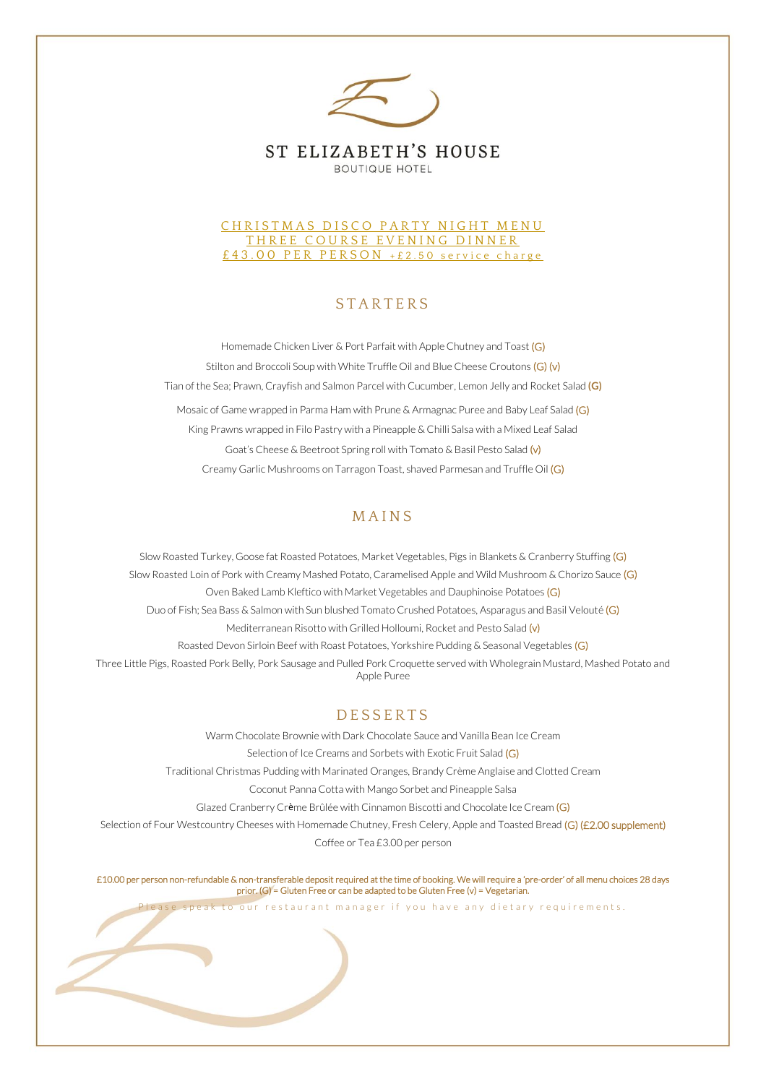

#### CHRISTMAS DISCO PARTY NIGHT MENU THREE COURSE EVENING DINNER £43.00 PER PERSON +£2.50 service charge

## **STARTERS**

Homemade Chicken Liver & Port Parfait with Apple Chutney and Toast (G) Stilton and Broccoli Soup with White Truffle Oil and Blue Cheese Croutons (G) (v) Tian of the Sea; Prawn, Crayfish and Salmon Parcel with Cucumber, Lemon Jelly and Rocket Salad **(G)** Mosaic of Game wrapped in Parma Ham with Prune & Armagnac Puree and Baby Leaf Salad (G) King Prawns wrapped in Filo Pastry with a Pineapple & Chilli Salsa with a Mixed Leaf Salad Goat's Cheese & Beetroot Spring roll with Tomato & Basil Pesto Salad (v) Creamy Garlic Mushrooms on Tarragon Toast, shaved Parmesan and Truffle Oil (G)

## **MAINS**

Slow Roasted Turkey, Goose fat Roasted Potatoes, Market Vegetables, Pigs in Blankets & Cranberry Stuffing (G) Slow Roasted Loin of Pork with Creamy Mashed Potato, Caramelised Apple and Wild Mushroom & Chorizo Sauce (G) Oven Baked Lamb Kleftico with Market Vegetables and Dauphinoise Potatoes (G) Duo of Fish; Sea Bass & Salmon with Sun blushed Tomato Crushed Potatoes, Asparagus and Basil Velouté (G) Mediterranean Risotto with Grilled Holloumi, Rocket and Pesto Salad (v) Roasted Devon Sirloin Beef with Roast Potatoes, Yorkshire Pudding & Seasonal Vegetables (G) Three Little Pigs, Roasted Pork Belly, Pork Sausage and Pulled Pork Croquette served with Wholegrain Mustard, Mashed Potato and Apple Puree

# **DESSERTS**

Warm Chocolate Brownie with Dark Chocolate Sauce and Vanilla Bean Ice Cream Selection of Ice Creams and Sorbets with Exotic Fruit Salad (G) Traditional Christmas Pudding with Marinated Oranges, Brandy Crème Anglaise and Clotted Cream Coconut Panna Cotta with Mango Sorbet and Pineapple Salsa Glazed Cranberry Crème Brûlée with Cinnamon Biscotti and Chocolate Ice Cream (G) Selection of Four Westcountry Cheeses with Homemade Chutney, Fresh Celery, Apple and Toasted Bread (G) (£2.00 supplement) Coffee or Tea £3.00 per person

£10.00 per person non-refundable & non-transferable deposit required at the time of booking. We will require a 'pre-order' of all menu choices 28 days prior. (G) = Gluten Free or can be adapted to be Gluten Free (v) = Vegetarian.

Please speak to our restaurant manager if you have any dietary requirements.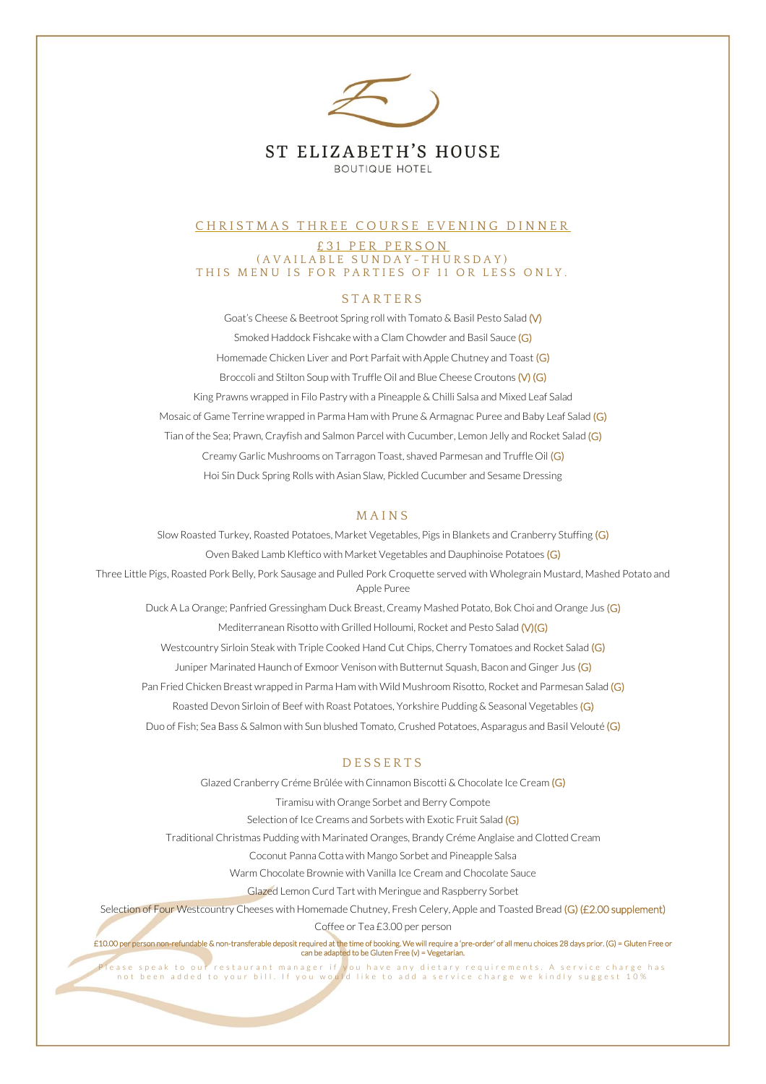

#### CHRISTMAS THREE COURSE EVENING DINNER

£31 PER PERSON ( A V A I L A B L E S U N D A Y - T H U R S D A Y ) THIS MENU IS FOR PARTIES OF 11 OR LESS ONLY.

#### **STARTERS**

Goat's Cheese & Beetroot Spring roll with Tomato & Basil Pesto Salad (V) Smoked Haddock Fishcake with a Clam Chowder and Basil Sauce (G) Homemade Chicken Liver and Port Parfait with Apple Chutney and Toast (G) Broccoli and Stilton Soup with Truffle Oil and Blue Cheese Croutons (V) (G) King Prawns wrapped in Filo Pastry with a Pineapple & Chilli Salsa and Mixed Leaf Salad Mosaic of Game Terrine wrapped in Parma Ham with Prune & Armagnac Puree and Baby Leaf Salad (G) Tian of the Sea; Prawn, Crayfish and Salmon Parcel with Cucumber, Lemon Jelly and Rocket Salad (G) Creamy Garlic Mushrooms on Tarragon Toast, shaved Parmesan and Truffle Oil (G) Hoi Sin Duck Spring Rolls with Asian Slaw, Pickled Cucumber and Sesame Dressing

#### **MAINS**

Slow Roasted Turkey, Roasted Potatoes, Market Vegetables, Pigs in Blankets and Cranberry Stuffing (G) Oven Baked Lamb Kleftico with Market Vegetables and Dauphinoise Potatoes (G) Three Little Pigs, Roasted Pork Belly, Pork Sausage and Pulled Pork Croquette served with Wholegrain Mustard, Mashed Potato and Apple Puree Duck A La Orange; Panfried Gressingham Duck Breast, Creamy Mashed Potato, Bok Choi and Orange Jus (G) Mediterranean Risotto with Grilled Holloumi, Rocket and Pesto Salad (V)(G) Westcountry Sirloin Steak with Triple Cooked Hand Cut Chips, Cherry Tomatoes and Rocket Salad (G) Juniper Marinated Haunch of Exmoor Venison with Butternut Squash, Bacon and Ginger Jus (G) Pan Fried Chicken Breast wrapped in Parma Ham with Wild Mushroom Risotto, Rocket and Parmesan Salad (G) Roasted Devon Sirloin of Beef with Roast Potatoes, Yorkshire Pudding & Seasonal Vegetables (G) Duo of Fish; Sea Bass & Salmon with Sun blushed Tomato, Crushed Potatoes, Asparagus and Basil Velouté (G)

#### **DESSERTS**

Glazed Cranberry Créme Brûlée with Cinnamon Biscotti & Chocolate Ice Cream (G) Tiramisu with Orange Sorbet and Berry Compote Selection of Ice Creams and Sorbets with Exotic Fruit Salad (G) Traditional Christmas Pudding with Marinated Oranges, Brandy Créme Anglaise and Clotted Cream Coconut Panna Cotta with Mango Sorbet and Pineapple Salsa Warm Chocolate Brownie with Vanilla Ice Cream and Chocolate Sauce Glazed Lemon Curd Tart with Meringue and Raspberry Sorbet Selection of Four Westcountry Cheeses with Homemade Chutney, Fresh Celery, Apple and Toasted Bread (G) (£2.00 supplement) Coffee or Tea £3.00 per person

£10.00 per person non-refundable & non-transferable deposit required at the time of booking. We will require a 'pre-order' of all menu choices 28 days prior. (G) = Gluten Free or can be adapted to be Gluten Free (v) = Vegetarian.

Please speak to our restaurant manager if you have any dietary requirements. A service charge has<br>not been added to your bill. If you would like to add a service charge we kindly suggest 10%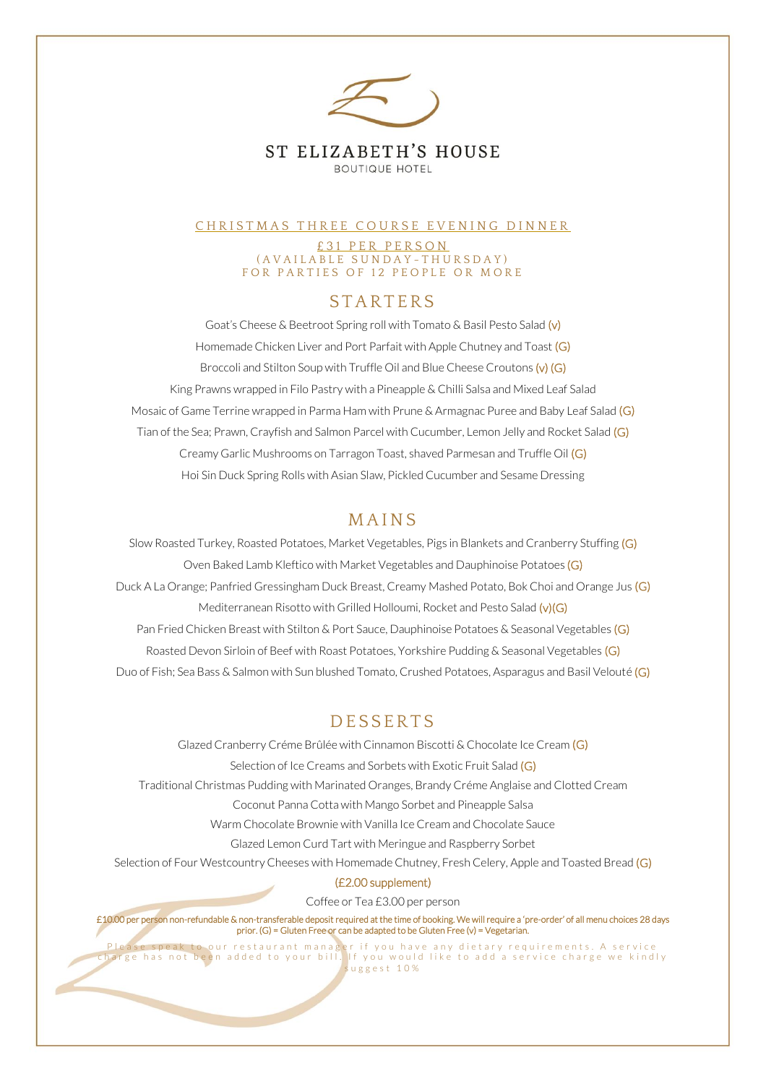

#### CHRISTMAS THREE COURSE EVENING DINNER

£31 PER PERSON ( A V A I L A B L E S U N D A Y - T H U R S D A Y ) FOR PARTIES OF 12 PEOPLE OR MORE

# **STARTERS**

Goat's Cheese & Beetroot Spring roll with Tomato & Basil Pesto Salad (v) Homemade Chicken Liver and Port Parfait with Apple Chutney and Toast (G) Broccoli and Stilton Soup with Truffle Oil and Blue Cheese Croutons (v) (G) King Prawns wrapped in Filo Pastry with a Pineapple & Chilli Salsa and Mixed Leaf Salad Mosaic of Game Terrine wrapped in Parma Ham with Prune & Armagnac Puree and Baby Leaf Salad (G) Tian of the Sea; Prawn, Crayfish and Salmon Parcel with Cucumber, Lemon Jelly and Rocket Salad (G) Creamy Garlic Mushrooms on Tarragon Toast, shaved Parmesan and Truffle Oil (G) Hoi Sin Duck Spring Rolls with Asian Slaw, Pickled Cucumber and Sesame Dressing

# **MAINS**

Slow Roasted Turkey, Roasted Potatoes, Market Vegetables, Pigs in Blankets and Cranberry Stuffing (G) Oven Baked Lamb Kleftico with Market Vegetables and Dauphinoise Potatoes (G) Duck A La Orange; Panfried Gressingham Duck Breast, Creamy Mashed Potato, Bok Choi and Orange Jus (G) Mediterranean Risotto with Grilled Holloumi, Rocket and Pesto Salad (v)(G) Pan Fried Chicken Breast with Stilton & Port Sauce, Dauphinoise Potatoes & Seasonal Vegetables (G) Roasted Devon Sirloin of Beef with Roast Potatoes, Yorkshire Pudding & Seasonal Vegetables (G) Duo of Fish; Sea Bass & Salmon with Sun blushed Tomato, Crushed Potatoes, Asparagus and Basil Velouté (G)

# **DESSERTS**

Glazed Cranberry Créme Brûlée with Cinnamon Biscotti & Chocolate Ice Cream (G) Selection of Ice Creams and Sorbets with Exotic Fruit Salad (G) Traditional Christmas Pudding with Marinated Oranges, Brandy Créme Anglaise and Clotted Cream Coconut Panna Cotta with Mango Sorbet and Pineapple Salsa Warm Chocolate Brownie with Vanilla Ice Cream and Chocolate Sauce Glazed Lemon Curd Tart with Meringue and Raspberry Sorbet Selection of Four Westcountry Cheeses with Homemade Chutney, Fresh Celery, Apple and Toasted Bread (G) (£2.00 supplement)

Coffee or Tea £3.00 per person

£10.00 per person non-refundable & non-transferable deposit required at the time of booking. We will require a 'pre-order' of all menu choices 28 days prior. (G) = Gluten Free or can be adapted to be Gluten Free (v) = Vegetarian.

P lease speak to our restaurant manager if you have any dietary requirements. A service charge has not been added to your bill. If you would like to add a service charge we kindly s u g g e s t 1 0 %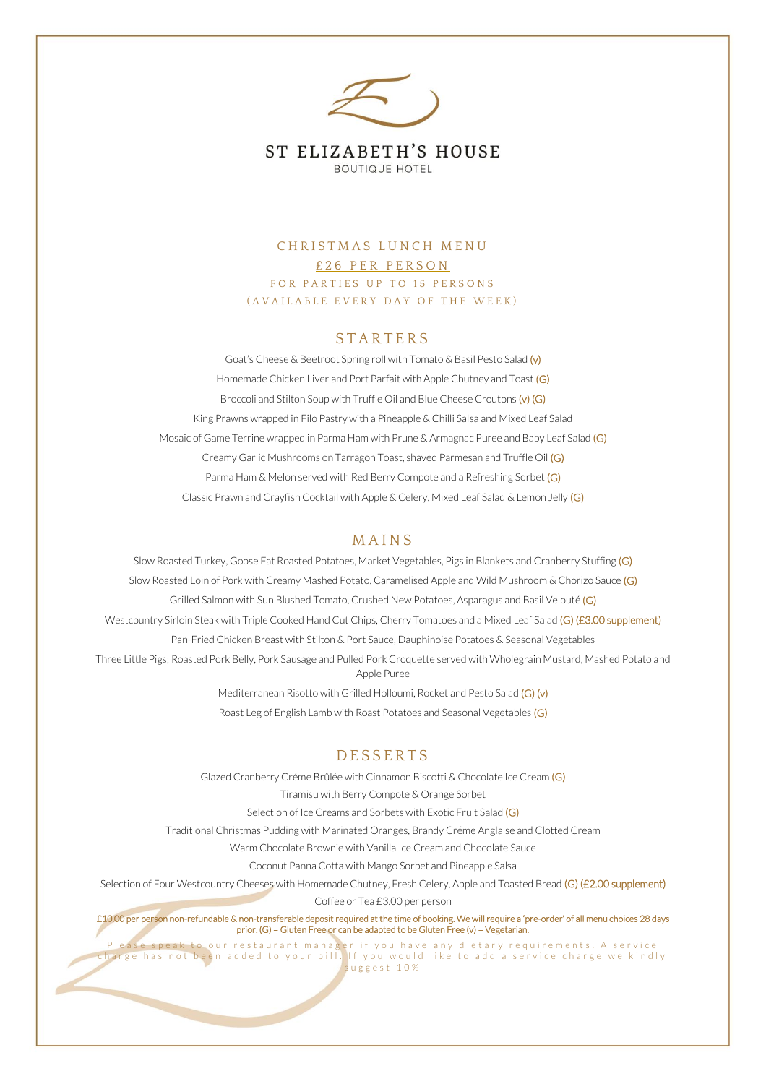

## CHRISTMAS LUNCH MENU £ 2 6 P E R P E R S O N FOR PARTIES UP TO 15 PERSONS ( A V A I L A B L E E V E R Y D A Y O F T H E W E E K )

### **STARTERS**

Goat's Cheese & Beetroot Spring roll with Tomato & Basil Pesto Salad (v) Homemade Chicken Liver and Port Parfait with Apple Chutney and Toast (G) Broccoli and Stilton Soup with Truffle Oil and Blue Cheese Croutons (v) (G) King Prawns wrapped in Filo Pastry with a Pineapple & Chilli Salsa and Mixed Leaf Salad Mosaic of Game Terrine wrapped in Parma Ham with Prune & Armagnac Puree and Baby Leaf Salad (G) Creamy Garlic Mushrooms on Tarragon Toast, shaved Parmesan and Truffle Oil (G) Parma Ham & Melon served with Red Berry Compote and a Refreshing Sorbet (G) Classic Prawn and Crayfish Cocktail with Apple & Celery, Mixed Leaf Salad & Lemon Jelly (G)

#### **MAINS**

Slow Roasted Turkey, Goose Fat Roasted Potatoes, Market Vegetables, Pigs in Blankets and Cranberry Stuffing (G) Slow Roasted Loin of Pork with Creamy Mashed Potato, Caramelised Apple and Wild Mushroom & Chorizo Sauce (G) Grilled Salmon with Sun Blushed Tomato, Crushed New Potatoes, Asparagus and Basil Velouté (G) Westcountry Sirloin Steak with Triple Cooked Hand Cut Chips, Cherry Tomatoes and a Mixed Leaf Salad (G) (£3.00 supplement) Pan-Fried Chicken Breast with Stilton & Port Sauce, Dauphinoise Potatoes & Seasonal Vegetables Three Little Pigs; Roasted Pork Belly, Pork Sausage and Pulled Pork Croquette served with Wholegrain Mustard, Mashed Potato and Apple Puree Mediterranean Risotto with Grilled Holloumi, Rocket and Pesto Salad (G) (v)

Roast Leg of English Lamb with Roast Potatoes and Seasonal Vegetables (G)

#### **DESSERTS**

Glazed Cranberry Créme Brûlée with Cinnamon Biscotti & Chocolate Ice Cream (G) Tiramisu with Berry Compote & Orange Sorbet Selection of Ice Creams and Sorbets with Exotic Fruit Salad (G) Traditional Christmas Pudding with Marinated Oranges, Brandy Créme Anglaise and Clotted Cream Warm Chocolate Brownie with Vanilla Ice Cream and Chocolate Sauce Coconut Panna Cotta with Mango Sorbet and Pineapple Salsa Selection of Four Westcountry Cheeses with Homemade Chutney, Fresh Celery, Apple and Toasted Bread (G) (£2.00 supplement) Coffee or Tea £3.00 per person

£10.00 per person non-refundable & non-transferable deposit required at the time of booking. We will require a 'pre-order' of all menu choices 28 days prior. (G) = Gluten Free or can be adapted to be Gluten Free (v) = Vegetarian.

P lease speak to our restaurant manager if you have any dietary requirements. A service charge has not been added to your bill. If you would like to add a service charge we kindly s u g g e s t 1 0 %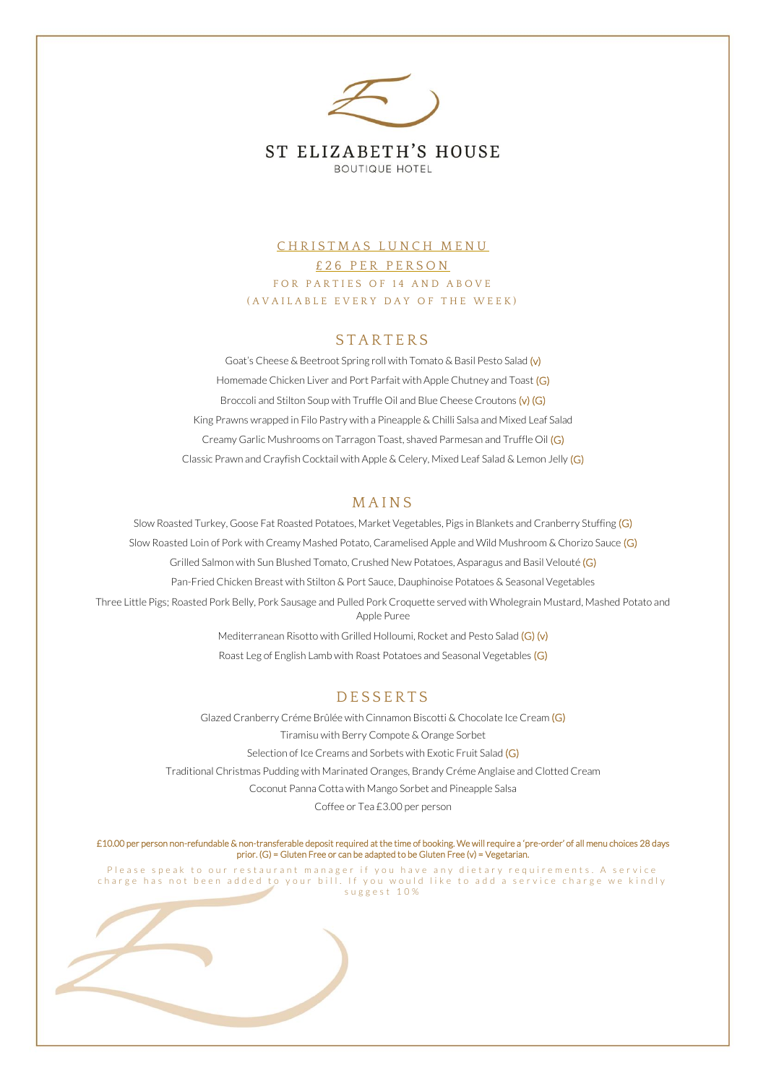

## CHRISTMAS LUNCH MENU £ 26 PER PERSON FOR PARTIES OF 14 AND ABOVE ( A V A I L A B L E E V E R Y D A Y O F T H E W E E K )

#### **STARTERS**

Goat's Cheese & Beetroot Spring roll with Tomato & Basil Pesto Salad (v) Homemade Chicken Liver and Port Parfait with Apple Chutney and Toast (G) Broccoli and Stilton Soup with Truffle Oil and Blue Cheese Croutons (v) (G) King Prawns wrapped in Filo Pastry with a Pineapple & Chilli Salsa and Mixed Leaf Salad Creamy Garlic Mushrooms on Tarragon Toast, shaved Parmesan and Truffle Oil (G) Classic Prawn and Crayfish Cocktail with Apple & Celery, Mixed Leaf Salad & Lemon Jelly (G)

#### **MAINS**

Slow Roasted Turkey, Goose Fat Roasted Potatoes, Market Vegetables, Pigs in Blankets and Cranberry Stuffing (G) Slow Roasted Loin of Pork with Creamy Mashed Potato, Caramelised Apple and Wild Mushroom & Chorizo Sauce (G) Grilled Salmon with Sun Blushed Tomato, Crushed New Potatoes, Asparagus and Basil Velouté (G) Pan-Fried Chicken Breast with Stilton & Port Sauce, Dauphinoise Potatoes & Seasonal Vegetables Three Little Pigs; Roasted Pork Belly, Pork Sausage and Pulled Pork Croquette served with Wholegrain Mustard, Mashed Potato and Apple Puree

Mediterranean Risotto with Grilled Holloumi, Rocket and Pesto Salad (G) (v) Roast Leg of English Lamb with Roast Potatoes and Seasonal Vegetables (G)

### **DESSERTS**

Glazed Cranberry Créme Brûlée with Cinnamon Biscotti & Chocolate Ice Cream (G) Tiramisu with Berry Compote & Orange Sorbet Selection of Ice Creams and Sorbets with Exotic Fruit Salad (G) Traditional Christmas Pudding with Marinated Oranges, Brandy Créme Anglaise and Clotted Cream Coconut Panna Cotta with Mango Sorbet and Pineapple Salsa Coffee or Tea £3.00 per person

£10.00 per person non-refundable & non-transferable deposit required at the time of booking. We will require a 'pre-order' of all menu choices 28 days prior. (G) = Gluten Free or can be adapted to be Gluten Free (v) = Vegetarian.

Please speak to our restaurant manager if you have any dietary requirements. A service charge has not been added to your bill. If you would like to add a service charge we kindly s u g g e s t 1 0 %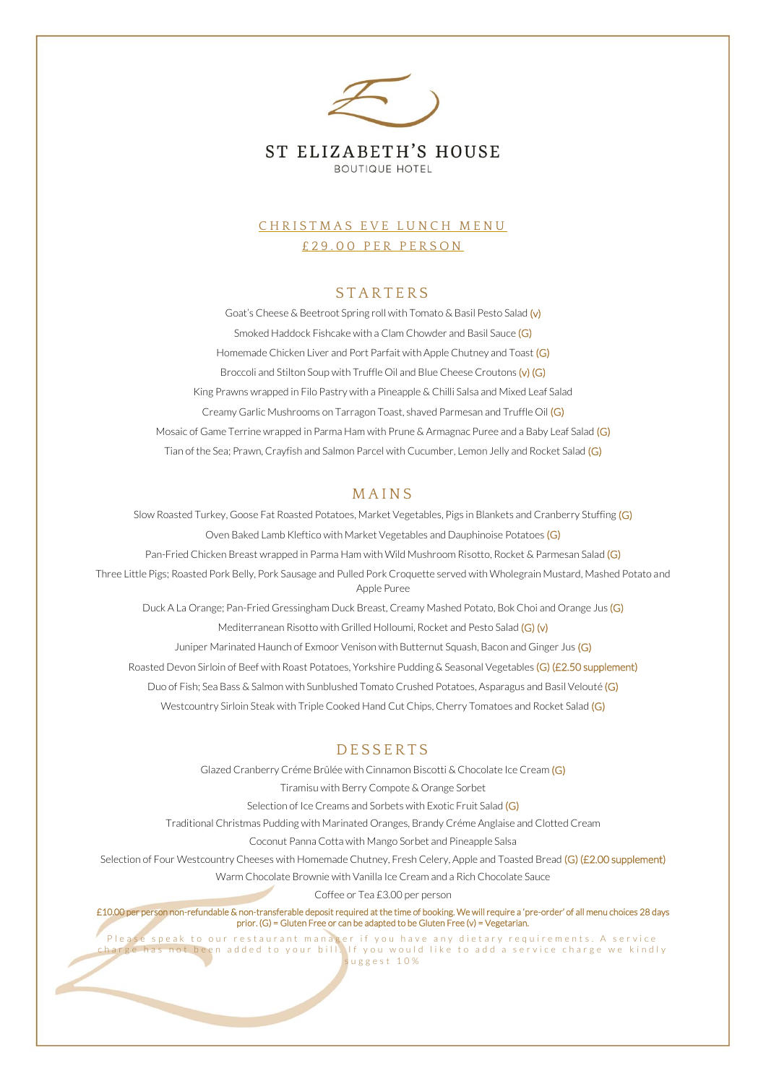

## CHRISTMAS EVE LUNCH MENU £29.00 PER PERSON

## **STARTERS**

Goat's Cheese & Beetroot Spring roll with Tomato & Basil Pesto Salad (v) Smoked Haddock Fishcake with a Clam Chowder and Basil Sauce (G) Homemade Chicken Liver and Port Parfait with Apple Chutney and Toast (G) Broccoli and Stilton Soup with Truffle Oil and Blue Cheese Croutons (v) (G) King Prawns wrapped in Filo Pastry with a Pineapple & Chilli Salsa and Mixed Leaf Salad Creamy Garlic Mushrooms on Tarragon Toast, shaved Parmesan and Truffle Oil (G) Mosaic of Game Terrine wrapped in Parma Ham with Prune & Armagnac Puree and a Baby Leaf Salad (G) Tian of the Sea; Prawn, Crayfish and Salmon Parcel with Cucumber, Lemon Jelly and Rocket Salad (G)

### **MAINS**

Slow Roasted Turkey, Goose Fat Roasted Potatoes, Market Vegetables, Pigs in Blankets and Cranberry Stuffing (G) Oven Baked Lamb Kleftico with Market Vegetables and Dauphinoise Potatoes (G) Pan-Fried Chicken Breast wrapped in Parma Ham with Wild Mushroom Risotto, Rocket & Parmesan Salad (G) Three Little Pigs; Roasted Pork Belly, Pork Sausage and Pulled Pork Croquette served with Wholegrain Mustard, Mashed Potato and Apple Puree Duck A La Orange; Pan-Fried Gressingham Duck Breast, Creamy Mashed Potato, Bok Choi and Orange Jus (G) Mediterranean Risotto with Grilled Holloumi, Rocket and Pesto Salad (G) (v) Juniper Marinated Haunch of Exmoor Venison with Butternut Squash, Bacon and Ginger Jus (G)

Roasted Devon Sirloin of Beef with Roast Potatoes, Yorkshire Pudding & Seasonal Vegetables (G) (£2.50 supplement) Duo of Fish; Sea Bass & Salmon with Sunblushed Tomato Crushed Potatoes, Asparagus and Basil Velouté (G) Westcountry Sirloin Steak with Triple Cooked Hand Cut Chips, Cherry Tomatoes and Rocket Salad (G)

### **DESSERTS**

Glazed Cranberry Créme Brûlée with Cinnamon Biscotti & Chocolate Ice Cream (G) Tiramisu with Berry Compote & Orange Sorbet Selection of Ice Creams and Sorbets with Exotic Fruit Salad (G) Traditional Christmas Pudding with Marinated Oranges, Brandy Créme Anglaise and Clotted Cream Coconut Panna Cotta with Mango Sorbet and Pineapple Salsa Selection of Four Westcountry Cheeses with Homemade Chutney, Fresh Celery, Apple and Toasted Bread (G) (£2.00 supplement) Warm Chocolate Brownie with Vanilla Ice Cream and a Rich Chocolate Sauce Coffee or Tea £3.00 per person

£10.00 per person non-refundable & non-transferable deposit required at the time of booking. We will require a 'pre-order' of all menu choices 28 days prior. (G) = Gluten Free or can be adapted to be Gluten Free (v) = Vegetarian.

Please speak to our restaurant manager if you have any dietary requirements. A service  $\overline{\text{tot}}$  been added to your bill. If you would like to add a service charge we kindly s u g g e s t 1 0 %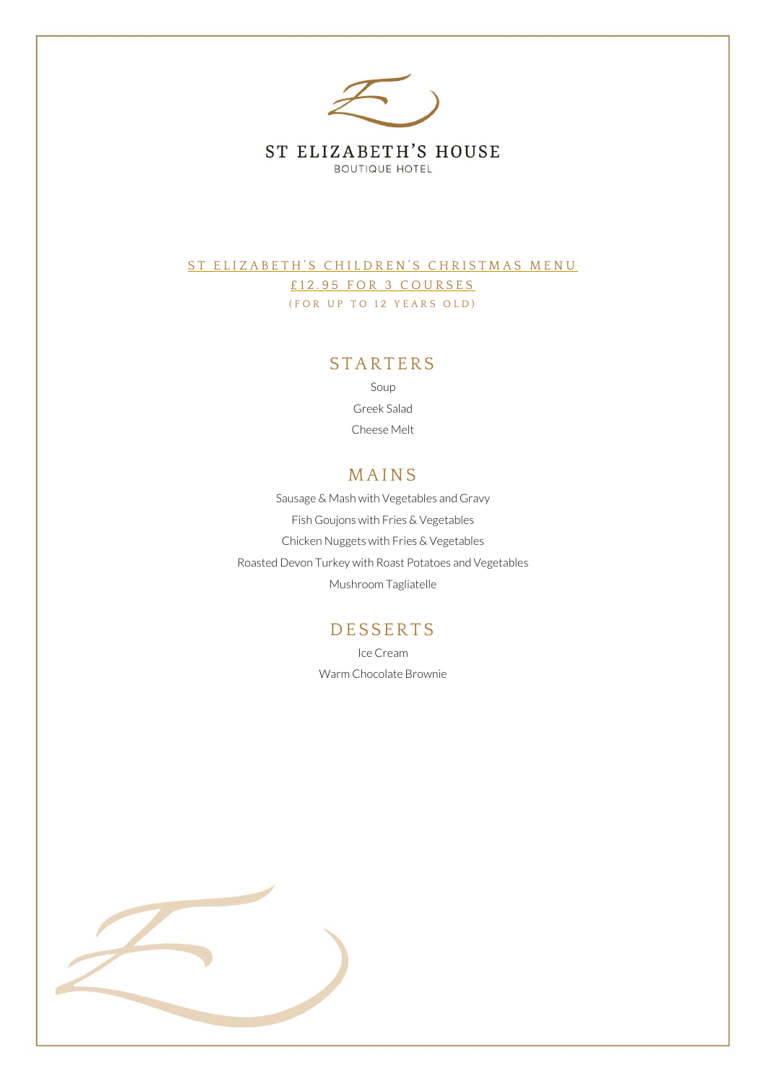

ST ELIZABETH'S CHILDREN'S CHRISTMAS MENU £12.95 FOR 3 COURSES (FOR UP TO 12 YEARS OLD)

### **STARTERS**

Soup Greek Salad Cheese Melt

# **MAINS**

Sausage & Mash with Vegetables and Gravy Fish Goujons with Fries & Vegetables Chicken Nuggets with Fries & Vegetables Roasted Devon Turkey with Roast Potatoes and Vegetables Mushroom Tagliatelle

# **DESSERTS**

Ice Cream Warm Chocolate Brownie

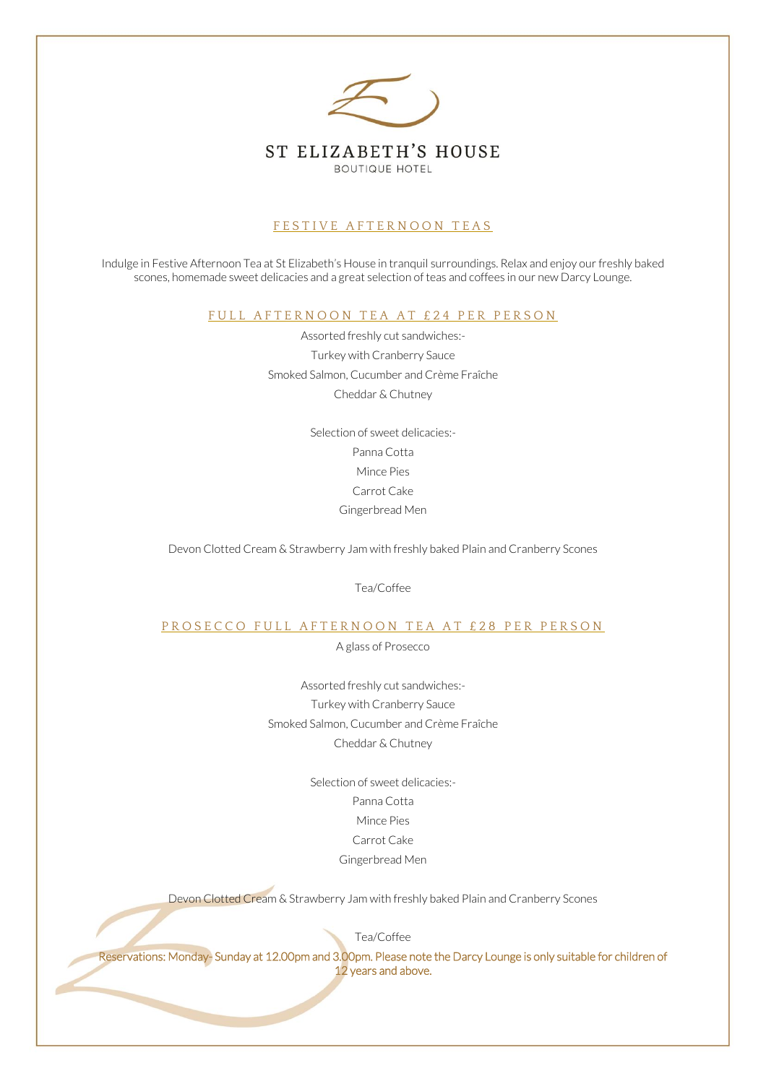

### FESTIVE AFTERNOON TEAS

Indulge in Festive Afternoon Tea at St Elizabeth's House in tranquil surroundings. Relax and enjoy our freshly baked scones, homemade sweet delicacies and a great selection of teas and coffees in our new Darcy Lounge.

FULL AFTERNOON TEA AT £24 PER PERSON

Assorted freshly cut sandwiches:- Turkey with Cranberry Sauce Smoked Salmon, Cucumber and Crème Fraîche Cheddar & Chutney

> Selection of sweet delicacies:- Panna Cotta Mince Pies Carrot Cake Gingerbread Men

Devon Clotted Cream & Strawberry Jam with freshly baked Plain and Cranberry Scones

Tea/Coffee

#### PROSECCO FULL AFTERNOON TEA AT £28 PER PERSON

A glass of Prosecco

Assorted freshly cut sandwiches:- Turkey with Cranberry Sauce Smoked Salmon, Cucumber and Crème Fraîche Cheddar & Chutney

> Selection of sweet delicacies:- Panna Cotta Mince Pies Carrot Cake Gingerbread Men

Devon Clotted Cream & Strawberry Jam with freshly baked Plain and Cranberry Scones

Tea/Coffee

Reservations: Monday- Sunday at 12.00pm and 3.00pm. Please note the Darcy Lounge is only suitable for children of 12 years and above.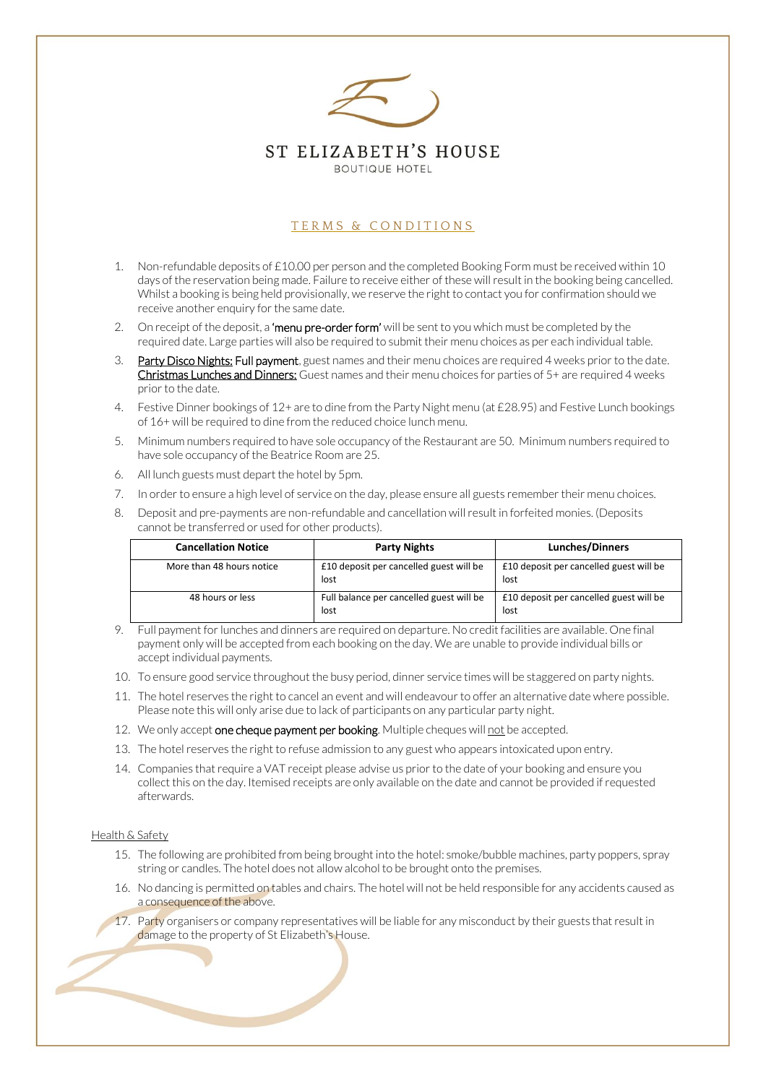

### TERMS & CONDITIONS

- 1. Non-refundable deposits of  $£10.00$  per person and the completed Booking Form must be received within 10 days of the reservation being made. Failure to receive either of these will result in the booking being cancelled. Whilst a booking is being held provisionally, we reserve the right to contact you for confirmation should we receive another enquiry for the same date.
- 2. On receipt of the deposit, a 'menu pre-order form' will be sent to you which must be completed by the required date. Large parties will also be required to submit their menu choices as per each individual table.
- 3. Party Disco Nights: Full payment, guest names and their menu choices are required 4 weeks prior to the date. Christmas Lunches and Dinners: Guest names and their menu choices for parties of 5+ are required 4 weeks prior to the date.
- 4. Festive Dinner bookings of 12+ are to dine from the Party Night menu (at £28.95) and Festive Lunch bookings of 16+ will be required to dine from the reduced choice lunch menu.
- 5. Minimum numbers required to have sole occupancy of the Restaurant are 50. Minimum numbers required to have sole occupancy of the Beatrice Room are 25.
- 6. All lunch guests must depart the hotel by 5pm.
- 7. In order to ensure a high level of service on the day, please ensure all guests remember their menu choices.
- 8. Deposit and pre-payments are non-refundable and cancellation will result in forfeited monies. (Deposits cannot be transferred or used for other products).

| <b>Cancellation Notice</b> | <b>Party Nights</b>                              | <b>Lunches/Dinners</b>                          |
|----------------------------|--------------------------------------------------|-------------------------------------------------|
| More than 48 hours notice  | £10 deposit per cancelled guest will be<br>lost  | £10 deposit per cancelled guest will be<br>lost |
| 48 hours or less           | Full balance per cancelled guest will be<br>lost | £10 deposit per cancelled guest will be<br>lost |

9. Full payment for lunches and dinners are required on departure. No credit facilities are available. One final payment only will be accepted from each booking on the day. We are unable to provide individual bills or accept individual payments.

- 10. To ensure good service throughout the busy period, dinner service times will be staggered on party nights.
- 11. The hotel reserves the right to cancel an event and will endeavour to offer an alternative date where possible. Please note this will only arise due to lack of participants on any particular party night.
- 12. We only accept one cheque payment per booking. Multiple cheques will not be accepted.
- 13. The hotel reserves the right to refuse admission to any guest who appears intoxicated upon entry.
- 14. Companies that require a VAT receipt please advise us prior to the date of your booking and ensure you collect this on the day. Itemised receipts are only available on the date and cannot be provided if requested afterwards.

#### Health & Safety

- 15. The following are prohibited from being brought into the hotel: smoke/bubble machines, party poppers, spray string or candles. The hotel does not allow alcohol to be brought onto the premises.
- 16. No dancing is permitted on tables and chairs. The hotel will not be held responsible for any accidents caused as a consequence of the above.
- 17. Party organisers or company representatives will be liable for any misconduct by their guests that result in damage to the property of St Elizabeth's House.